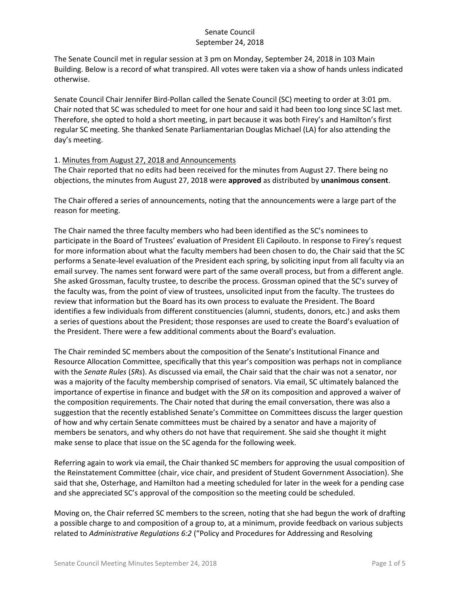The Senate Council met in regular session at 3 pm on Monday, September 24, 2018 in 103 Main Building. Below is a record of what transpired. All votes were taken via a show of hands unless indicated otherwise.

Senate Council Chair Jennifer Bird-Pollan called the Senate Council (SC) meeting to order at 3:01 pm. Chair noted that SC was scheduled to meet for one hour and said it had been too long since SC last met. Therefore, she opted to hold a short meeting, in part because it was both Firey's and Hamilton's first regular SC meeting. She thanked Senate Parliamentarian Douglas Michael (LA) for also attending the day's meeting.

#### 1. Minutes from August 27, 2018 and Announcements

The Chair reported that no edits had been received for the minutes from August 27. There being no objections, the minutes from August 27, 2018 were **approved** as distributed by **unanimous consent**.

The Chair offered a series of announcements, noting that the announcements were a large part of the reason for meeting.

The Chair named the three faculty members who had been identified as the SC's nominees to participate in the Board of Trustees' evaluation of President Eli Capilouto. In response to Firey's request for more information about what the faculty members had been chosen to do, the Chair said that the SC performs a Senate-level evaluation of the President each spring, by soliciting input from all faculty via an email survey. The names sent forward were part of the same overall process, but from a different angle. She asked Grossman, faculty trustee, to describe the process. Grossman opined that the SC's survey of the faculty was, from the point of view of trustees, unsolicited input from the faculty. The trustees do review that information but the Board has its own process to evaluate the President. The Board identifies a few individuals from different constituencies (alumni, students, donors, etc.) and asks them a series of questions about the President; those responses are used to create the Board's evaluation of the President. There were a few additional comments about the Board's evaluation.

The Chair reminded SC members about the composition of the Senate's Institutional Finance and Resource Allocation Committee, specifically that this year's composition was perhaps not in compliance with the *Senate Rules* (*SRs*). As discussed via email, the Chair said that the chair was not a senator, nor was a majority of the faculty membership comprised of senators. Via email, SC ultimately balanced the importance of expertise in finance and budget with the *SR* on its composition and approved a waiver of the composition requirements. The Chair noted that during the email conversation, there was also a suggestion that the recently established Senate's Committee on Committees discuss the larger question of how and why certain Senate committees must be chaired by a senator and have a majority of members be senators, and why others do not have that requirement. She said she thought it might make sense to place that issue on the SC agenda for the following week.

Referring again to work via email, the Chair thanked SC members for approving the usual composition of the Reinstatement Committee (chair, vice chair, and president of Student Government Association). She said that she, Osterhage, and Hamilton had a meeting scheduled for later in the week for a pending case and she appreciated SC's approval of the composition so the meeting could be scheduled.

Moving on, the Chair referred SC members to the screen, noting that she had begun the work of drafting a possible charge to and composition of a group to, at a minimum, provide feedback on various subjects related to *Administrative Regulations 6:2* ("Policy and Procedures for Addressing and Resolving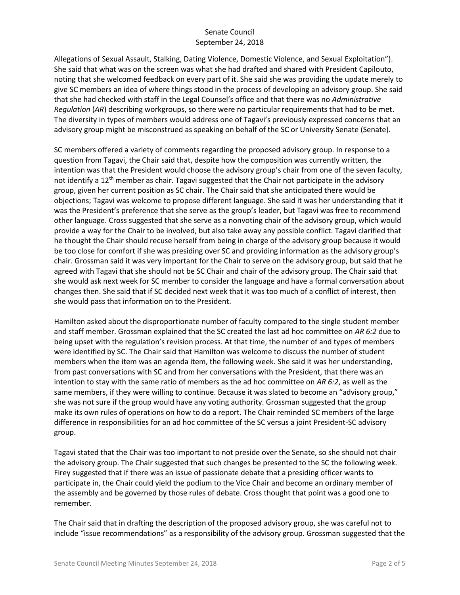Allegations of Sexual Assault, Stalking, Dating Violence, Domestic Violence, and Sexual Exploitation"). She said that what was on the screen was what she had drafted and shared with President Capilouto, noting that she welcomed feedback on every part of it. She said she was providing the update merely to give SC members an idea of where things stood in the process of developing an advisory group. She said that she had checked with staff in the Legal Counsel's office and that there was no *Administrative Regulation* (*AR*) describing workgroups, so there were no particular requirements that had to be met. The diversity in types of members would address one of Tagavi's previously expressed concerns that an advisory group might be misconstrued as speaking on behalf of the SC or University Senate (Senate).

SC members offered a variety of comments regarding the proposed advisory group. In response to a question from Tagavi, the Chair said that, despite how the composition was currently written, the intention was that the President would choose the advisory group's chair from one of the seven faculty, not identify a 12<sup>th</sup> member as chair. Tagavi suggested that the Chair not participate in the advisory group, given her current position as SC chair. The Chair said that she anticipated there would be objections; Tagavi was welcome to propose different language. She said it was her understanding that it was the President's preference that she serve as the group's leader, but Tagavi was free to recommend other language. Cross suggested that she serve as a nonvoting chair of the advisory group, which would provide a way for the Chair to be involved, but also take away any possible conflict. Tagavi clarified that he thought the Chair should recuse herself from being in charge of the advisory group because it would be too close for comfort if she was presiding over SC and providing information as the advisory group's chair. Grossman said it was very important for the Chair to serve on the advisory group, but said that he agreed with Tagavi that she should not be SC Chair and chair of the advisory group. The Chair said that she would ask next week for SC member to consider the language and have a formal conversation about changes then. She said that if SC decided next week that it was too much of a conflict of interest, then she would pass that information on to the President.

Hamilton asked about the disproportionate number of faculty compared to the single student member and staff member. Grossman explained that the SC created the last ad hoc committee on *AR 6:2* due to being upset with the regulation's revision process. At that time, the number of and types of members were identified by SC. The Chair said that Hamilton was welcome to discuss the number of student members when the item was an agenda item, the following week. She said it was her understanding, from past conversations with SC and from her conversations with the President, that there was an intention to stay with the same ratio of members as the ad hoc committee on *AR 6:2*, as well as the same members, if they were willing to continue. Because it was slated to become an "advisory group," she was not sure if the group would have any voting authority. Grossman suggested that the group make its own rules of operations on how to do a report. The Chair reminded SC members of the large difference in responsibilities for an ad hoc committee of the SC versus a joint President-SC advisory group.

Tagavi stated that the Chair was too important to not preside over the Senate, so she should not chair the advisory group. The Chair suggested that such changes be presented to the SC the following week. Firey suggested that if there was an issue of passionate debate that a presiding officer wants to participate in, the Chair could yield the podium to the Vice Chair and become an ordinary member of the assembly and be governed by those rules of debate. Cross thought that point was a good one to remember.

The Chair said that in drafting the description of the proposed advisory group, she was careful not to include "issue recommendations" as a responsibility of the advisory group. Grossman suggested that the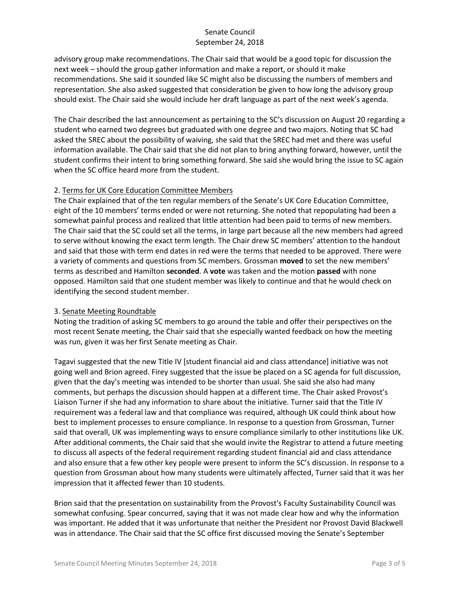advisory group make recommendations. The Chair said that would be a good topic for discussion the next week – should the group gather information and make a report, or should it make recommendations. She said it sounded like SC might also be discussing the numbers of members and representation. She also asked suggested that consideration be given to how long the advisory group should exist. The Chair said she would include her draft language as part of the next week's agenda.

The Chair described the last announcement as pertaining to the SC's discussion on August 20 regarding a student who earned two degrees but graduated with one degree and two majors. Noting that SC had asked the SREC about the possibility of waiving, she said that the SREC had met and there was useful information available. The Chair said that she did not plan to bring anything forward, however, until the student confirms their intent to bring something forward. She said she would bring the issue to SC again when the SC office heard more from the student.

### 2. Terms for UK Core Education Committee Members

The Chair explained that of the ten regular members of the Senate's UK Core Education Committee, eight of the 10 members' terms ended or were not returning. She noted that repopulating had been a somewhat painful process and realized that little attention had been paid to terms of new members. The Chair said that the SC could set all the terms, in large part because all the new members had agreed to serve without knowing the exact term length. The Chair drew SC members' attention to the handout and said that those with term end dates in red were the terms that needed to be approved. There were a variety of comments and questions from SC members. Grossman **moved** to set the new members' terms as described and Hamilton **seconded**. A **vote** was taken and the motion **passed** with none opposed. Hamilton said that one student member was likely to continue and that he would check on identifying the second student member.

# 3. Senate Meeting Roundtable

Noting the tradition of asking SC members to go around the table and offer their perspectives on the most recent Senate meeting, the Chair said that she especially wanted feedback on how the meeting was run, given it was her first Senate meeting as Chair.

Tagavi suggested that the new Title IV [student financial aid and class attendance] initiative was not going well and Brion agreed. Firey suggested that the issue be placed on a SC agenda for full discussion, given that the day's meeting was intended to be shorter than usual. She said she also had many comments, but perhaps the discussion should happen at a different time. The Chair asked Provost's Liaison Turner if she had any information to share about the initiative. Turner said that the Title IV requirement was a federal law and that compliance was required, although UK could think about how best to implement processes to ensure compliance. In response to a question from Grossman, Turner said that overall, UK was implementing ways to ensure compliance similarly to other institutions like UK. After additional comments, the Chair said that she would invite the Registrar to attend a future meeting to discuss all aspects of the federal requirement regarding student financial aid and class attendance and also ensure that a few other key people were present to inform the SC's discussion. In response to a question from Grossman about how many students were ultimately affected, Turner said that it was her impression that it affected fewer than 10 students.

Brion said that the presentation on sustainability from the Provost's Faculty Sustainability Council was somewhat confusing. Spear concurred, saying that it was not made clear how and why the information was important. He added that it was unfortunate that neither the President nor Provost David Blackwell was in attendance. The Chair said that the SC office first discussed moving the Senate's September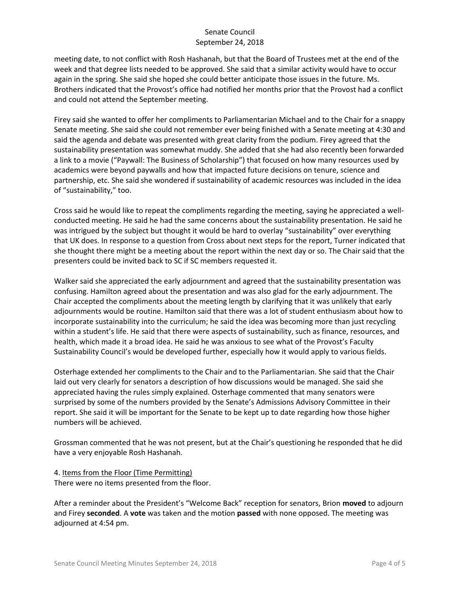meeting date, to not conflict with Rosh Hashanah, but that the Board of Trustees met at the end of the week and that degree lists needed to be approved. She said that a similar activity would have to occur again in the spring. She said she hoped she could better anticipate those issues in the future. Ms. Brothers indicated that the Provost's office had notified her months prior that the Provost had a conflict and could not attend the September meeting.

Firey said she wanted to offer her compliments to Parliamentarian Michael and to the Chair for a snappy Senate meeting. She said she could not remember ever being finished with a Senate meeting at 4:30 and said the agenda and debate was presented with great clarity from the podium. Firey agreed that the sustainability presentation was somewhat muddy. She added that she had also recently been forwarded a link to a movie ("Paywall: The Business of Scholarship") that focused on how many resources used by academics were beyond paywalls and how that impacted future decisions on tenure, science and partnership, etc. She said she wondered if sustainability of academic resources was included in the idea of "sustainability," too.

Cross said he would like to repeat the compliments regarding the meeting, saying he appreciated a wellconducted meeting. He said he had the same concerns about the sustainability presentation. He said he was intrigued by the subject but thought it would be hard to overlay "sustainability" over everything that UK does. In response to a question from Cross about next steps for the report, Turner indicated that she thought there might be a meeting about the report within the next day or so. The Chair said that the presenters could be invited back to SC if SC members requested it.

Walker said she appreciated the early adjournment and agreed that the sustainability presentation was confusing. Hamilton agreed about the presentation and was also glad for the early adjournment. The Chair accepted the compliments about the meeting length by clarifying that it was unlikely that early adjournments would be routine. Hamilton said that there was a lot of student enthusiasm about how to incorporate sustainability into the curriculum; he said the idea was becoming more than just recycling within a student's life. He said that there were aspects of sustainability, such as finance, resources, and health, which made it a broad idea. He said he was anxious to see what of the Provost's Faculty Sustainability Council's would be developed further, especially how it would apply to various fields.

Osterhage extended her compliments to the Chair and to the Parliamentarian. She said that the Chair laid out very clearly for senators a description of how discussions would be managed. She said she appreciated having the rules simply explained. Osterhage commented that many senators were surprised by some of the numbers provided by the Senate's Admissions Advisory Committee in their report. She said it will be important for the Senate to be kept up to date regarding how those higher numbers will be achieved.

Grossman commented that he was not present, but at the Chair's questioning he responded that he did have a very enjoyable Rosh Hashanah.

4. Items from the Floor (Time Permitting) There were no items presented from the floor.

After a reminder about the President's "Welcome Back" reception for senators, Brion **moved** to adjourn and Firey **seconded**. A **vote** was taken and the motion **passed** with none opposed. The meeting was adjourned at 4:54 pm.